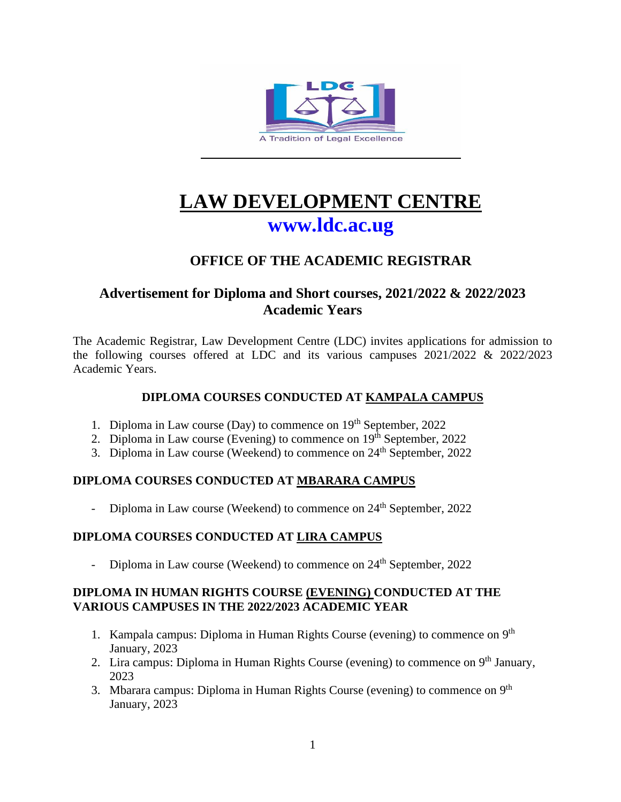

# **LAW DEVELOPMENT CENTRE [www.ldc.ac.ug](http://www.ldc.ac.ug/)**

# **OFFICE OF THE ACADEMIC REGISTRAR**

# **Advertisement for Diploma and Short courses, 2021/2022 & 2022/2023 Academic Years**

The Academic Registrar, Law Development Centre (LDC) invites applications for admission to the following courses offered at LDC and its various campuses 2021/2022 & 2022/2023 Academic Years.

# **DIPLOMA COURSES CONDUCTED AT KAMPALA CAMPUS**

- 1. Diploma in Law course (Day) to commence on 19<sup>th</sup> September, 2022
- 2. Diploma in Law course (Evening) to commence on  $19<sup>th</sup>$  September, 2022
- 3. Diploma in Law course (Weekend) to commence on 24<sup>th</sup> September, 2022

# **DIPLOMA COURSES CONDUCTED AT MBARARA CAMPUS**

Diploma in Law course (Weekend) to commence on 24<sup>th</sup> September, 2022

# **DIPLOMA COURSES CONDUCTED AT LIRA CAMPUS**

Diploma in Law course (Weekend) to commence on 24<sup>th</sup> September, 2022

#### **DIPLOMA IN HUMAN RIGHTS COURSE (EVENING) CONDUCTED AT THE VARIOUS CAMPUSES IN THE 2022/2023 ACADEMIC YEAR**

- 1. Kampala campus: Diploma in Human Rights Course (evening) to commence on  $9<sup>th</sup>$ January, 2023
- 2. Lira campus: Diploma in Human Rights Course (evening) to commence on 9<sup>th</sup> January, 2023
- 3. Mbarara campus: Diploma in Human Rights Course (evening) to commence on 9<sup>th</sup> January, 2023